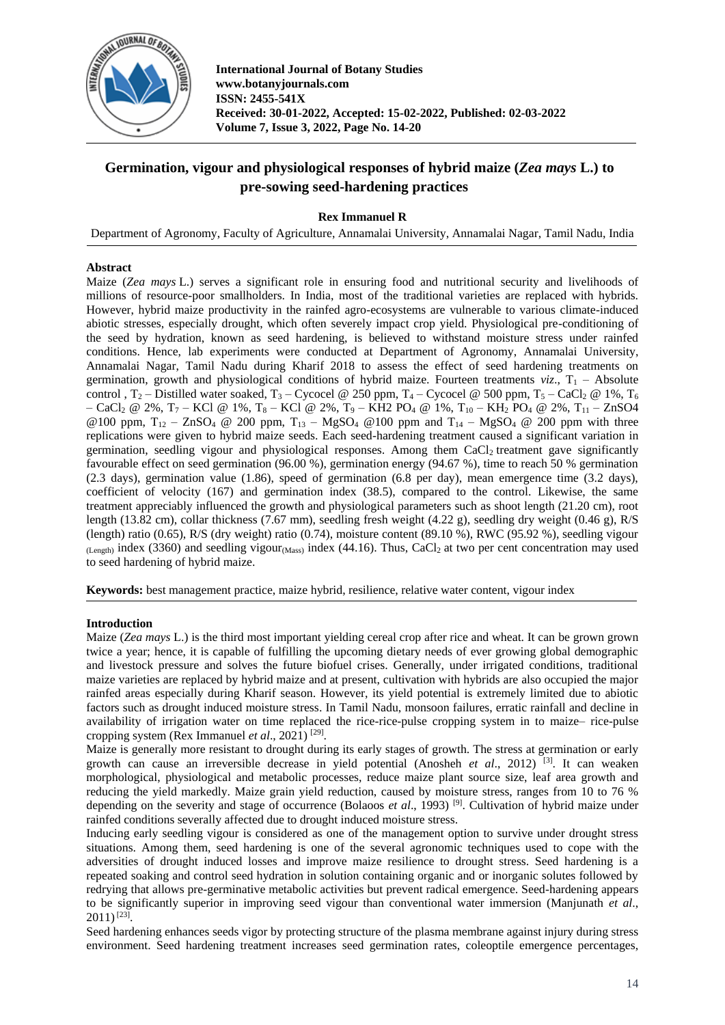

**International Journal of Botany Studies www.botanyjournals.com ISSN: 2455-541X Received: 30-01-2022, Accepted: 15-02-2022, Published: 02-03-2022 Volume 7, Issue 3, 2022, Page No. 14-20**

# **Germination, vigour and physiological responses of hybrid maize (***Zea mays* **L.) to pre-sowing seed-hardening practices**

## **Rex Immanuel R**

Department of Agronomy, Faculty of Agriculture, Annamalai University, Annamalai Nagar, Tamil Nadu, India

## **Abstract**

Maize (*Zea mays* L.) serves a significant role in ensuring food and nutritional security and livelihoods of millions of resource-poor smallholders. In India, most of the traditional varieties are replaced with hybrids. However, hybrid maize productivity in the rainfed agro-ecosystems are vulnerable to various climate-induced abiotic stresses, especially drought, which often severely impact crop yield. Physiological pre-conditioning of the seed by hydration, known as seed hardening, is believed to withstand moisture stress under rainfed conditions. Hence, lab experiments were conducted at Department of Agronomy, Annamalai University, Annamalai Nagar, Tamil Nadu during Kharif 2018 to assess the effect of seed hardening treatments on germination, growth and physiological conditions of hybrid maize. Fourteen treatments  $viz, T_1 - Absolute$ control , T<sub>2</sub> – Distilled water soaked, T<sub>3</sub> – Cycocel @ 250 ppm, T<sub>4</sub> – Cycocel @ 500 ppm, T<sub>5</sub> – CaCl<sub>2</sub> @ 1%, T<sub>6</sub> – CaCl<sub>2</sub> @ 2%, T<sub>7</sub> – KCl @ 1%, T<sub>8</sub> – KCl @ 2%, T<sub>9</sub> – KH2 PO<sub>4</sub> @ 1%, T<sub>10</sub> – KH<sub>2</sub> PO<sub>4</sub> @ 2%, T<sub>11</sub> – ZnSO4 @100 ppm,  $T_{12}$  – ZnSO<sub>4</sub> @ 200 ppm,  $T_{13}$  – MgSO<sub>4</sub> @100 ppm and  $T_{14}$  – MgSO<sub>4</sub> @ 200 ppm with three replications were given to hybrid maize seeds. Each seed-hardening treatment caused a significant variation in germination, seedling vigour and physiological responses. Among them  $CaCl<sub>2</sub>$  treatment gave significantly favourable effect on seed germination (96.00 %), germination energy (94.67 %), time to reach 50 % germination (2.3 days), germination value (1.86), speed of germination (6.8 per day), mean emergence time (3.2 days), coefficient of velocity (167) and germination index (38.5), compared to the control. Likewise, the same treatment appreciably influenced the growth and physiological parameters such as shoot length (21.20 cm), root length (13.82 cm), collar thickness (7.67 mm), seedling fresh weight (4.22 g), seedling dry weight (0.46 g), R/S (length) ratio (0.65), R/S (dry weight) ratio (0.74), moisture content (89.10 %), RWC (95.92 %), seedling vigour  $_{(Length)}$  index (3360) and seedling vigour $_{(Mass)}$  index (44.16). Thus, CaCl<sub>2</sub> at two per cent concentration may used to seed hardening of hybrid maize.

**Keywords:** best management practice, maize hybrid, resilience, relative water content, vigour index

## **Introduction**

Maize (*Zea mays* L.) is the third most important yielding cereal crop after rice and wheat. It can be grown grown twice a year; hence, it is capable of fulfilling the upcoming dietary needs of ever growing global demographic and livestock pressure and solves the future biofuel crises. Generally, under irrigated conditions, traditional maize varieties are replaced by hybrid maize and at present, cultivation with hybrids are also occupied the major rainfed areas especially during Kharif season. However, its yield potential is extremely limited due to abiotic factors such as drought induced moisture stress. In Tamil Nadu, monsoon failures, erratic rainfall and decline in availability of irrigation water on time replaced the rice-rice-pulse cropping system in to maize– rice-pulse cropping system (Rex Immanuel *et al.*, 2021)<sup>[29]</sup>.

Maize is generally more resistant to drought during its early stages of growth. The stress at germination or early growth can cause an irreversible decrease in yield potential (Anosheh *et al*., 2012) [3]. It can weaken morphological, physiological and metabolic processes, reduce maize plant source size, leaf area growth and reducing the yield markedly. Maize grain yield reduction, caused by moisture stress, ranges from 10 to 76 % depending on the severity and stage of occurrence (Bolaoos *et al*., 1993) [9]. Cultivation of hybrid maize under rainfed conditions severally affected due to drought induced moisture stress.

Inducing early seedling vigour is considered as one of the management option to survive under drought stress situations. Among them, seed hardening is one of the several agronomic techniques used to cope with the adversities of drought induced losses and improve maize resilience to drought stress. Seed hardening is a repeated soaking and control seed hydration in solution containing organic and or inorganic solutes followed by redrying that allows pre-germinative metabolic activities but prevent radical emergence. Seed-hardening appears to be significantly superior in improving seed vigour than conventional water immersion (Manjunath *et al*.,  $2011$ )<sup>[23]</sup>.

Seed hardening enhances seeds vigor by protecting structure of the plasma membrane against injury during stress environment. Seed hardening treatment increases seed germination rates, coleoptile emergence percentages,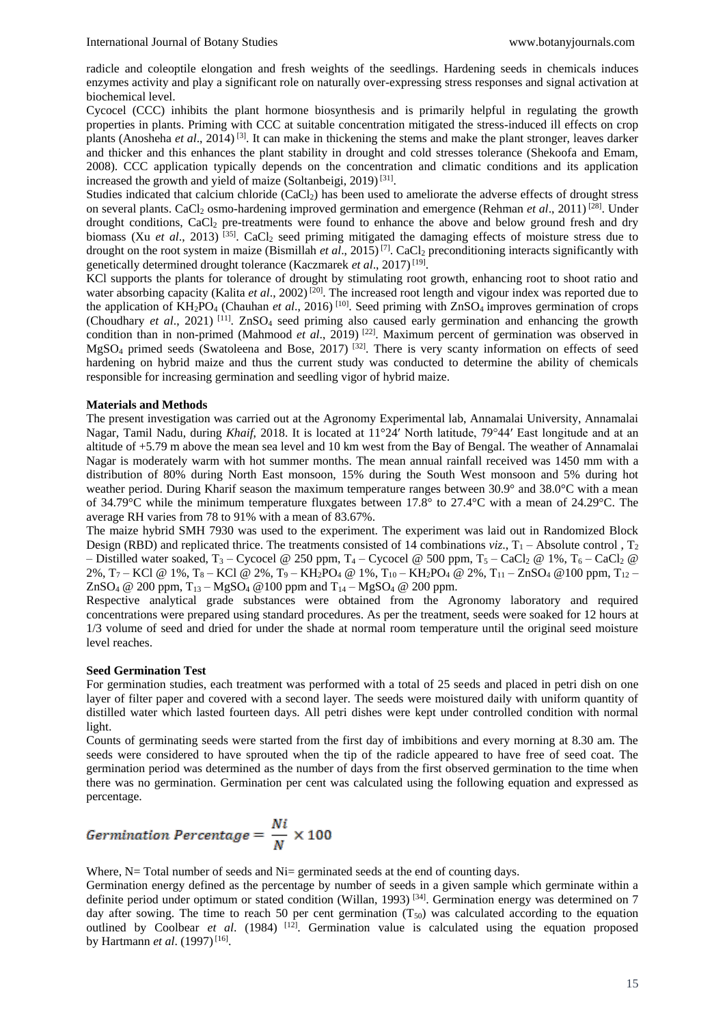radicle and coleoptile elongation and fresh weights of the seedlings. Hardening seeds in chemicals induces enzymes activity and play a significant role on naturally over-expressing stress responses and signal activation at biochemical level.

Cycocel (CCC) inhibits the plant hormone biosynthesis and is primarily helpful in regulating the growth properties in plants. Priming with CCC at suitable concentration mitigated the stress-induced ill effects on crop plants (Anosheha *et al*., 2014) [3]. It can make in thickening the stems and make the plant stronger, leaves darker and thicker and this enhances the plant stability in drought and cold stresses tolerance (Shekoofa and Emam, 2008). CCC application typically depends on the concentration and climatic conditions and its application increased the growth and yield of maize (Soltanbeigi, 2019)<sup>[31]</sup>.

Studies indicated that calcium chloride (CaCl<sub>2</sub>) has been used to ameliorate the adverse effects of drought stress on several plants. CaCl<sub>2</sub> osmo-hardening improved germination and emergence (Rehman *et al.*, 2011)<sup>[28]</sup>. Under drought conditions,  $CaCl<sub>2</sub>$  pre-treatments were found to enhance the above and below ground fresh and dry biomass (Xu *et al.*, 2013)<sup>[35]</sup>. CaCl<sub>2</sub> seed priming mitigated the damaging effects of moisture stress due to drought on the root system in maize (Bismillah *et al.*, 2015)<sup>[7]</sup>. CaCl<sub>2</sub> preconditioning interacts significantly with genetically determined drought tolerance (Kaczmarek et al., 2017)<sup>[19]</sup>.

KCl supports the plants for tolerance of drought by stimulating root growth, enhancing root to shoot ratio and water absorbing capacity (Kalita *et al.*, 2002)<sup>[20]</sup>. The increased root length and vigour index was reported due to the application of  $\overline{KH_2PO_4}$  (Chauhan *et al.*, 2016)<sup>[10]</sup>. Seed priming with ZnSO<sub>4</sub> improves germination of crops (Choudhary *et al.*, 2021) <sup>[11]</sup>. ZnSO<sub>4</sub> seed priming also caused early germination and enhancing the growth condition than in non-primed (Mahmood *et al.*, 2019) <sup>[22]</sup>. Maximum percent of germination was observed in MgSO<sub>4</sub> primed seeds (Swatoleena and Bose, 2017)<sup>[32]</sup>. There is very scanty information on effects of seed hardening on hybrid maize and thus the current study was conducted to determine the ability of chemicals responsible for increasing germination and seedling vigor of hybrid maize.

#### **Materials and Methods**

The present investigation was carried out at the Agronomy Experimental lab, Annamalai University, Annamalai Nagar, Tamil Nadu, during *Khaif*, 2018. It is located at 11°24′ North latitude, 79°44′ East longitude and at an altitude of +5.79 m above the mean sea level and 10 km west from the Bay of Bengal. The weather of Annamalai Nagar is moderately warm with hot summer months. The mean annual rainfall received was 1450 mm with a distribution of 80% during North East monsoon, 15% during the South West monsoon and 5% during hot weather period. During Kharif season the maximum temperature ranges between 30.9° and 38.0°C with a mean of 34.79°C while the minimum temperature fluxgates between 17.8° to 27.4°C with a mean of 24.29°C. The average RH varies from 78 to 91% with a mean of 83.67%.

The maize hybrid SMH 7930 was used to the experiment. The experiment was laid out in Randomized Block Design (RBD) and replicated thrice. The treatments consisted of 14 combinations *viz*.,  $T_1$  – Absolute control,  $T_2$ – Distilled water soaked,  $T_3$  – Cycocel @ 250 ppm,  $T_4$  – Cycocel @ 500 ppm,  $T_5$  – CaCl<sub>2</sub> @ 1%,  $T_6$  – CaCl<sub>2</sub> @ 2%,  $T_7$  – KCl @ 1%, T<sub>8</sub> – KCl @ 2%, T<sub>9</sub> – KH<sub>2</sub>PO<sub>4</sub> @ 1%, T<sub>10</sub> – KH<sub>2</sub>PO<sub>4</sub> @ 2%, T<sub>11</sub> – ZnSO<sub>4</sub> @ 100 ppm, T<sub>12</sub> – ZnSO<sub>4</sub> @ 200 ppm,  $T_{13} - MgSO_4 \text{ } @$  100 ppm and  $T_{14} - MgSO_4 \text{ } @$  200 ppm.

Respective analytical grade substances were obtained from the Agronomy laboratory and required concentrations were prepared using standard procedures. As per the treatment, seeds were soaked for 12 hours at 1/3 volume of seed and dried for under the shade at normal room temperature until the original seed moisture level reaches.

#### **Seed Germination Test**

For germination studies, each treatment was performed with a total of 25 seeds and placed in petri dish on one layer of filter paper and covered with a second layer. The seeds were moistured daily with uniform quantity of distilled water which lasted fourteen days. All petri dishes were kept under controlled condition with normal light.

Counts of germinating seeds were started from the first day of imbibitions and every morning at 8.30 am. The seeds were considered to have sprouted when the tip of the radicle appeared to have free of seed coat. The germination period was determined as the number of days from the first observed germination to the time when there was no germination. Germination per cent was calculated using the following equation and expressed as percentage.

$$
Germanation\ Percentage = \frac{Ni}{N} \times 100
$$

Where,  $N=$  Total number of seeds and  $N=$  germinated seeds at the end of counting days.

Germination energy defined as the percentage by number of seeds in a given sample which germinate within a definite period under optimum or stated condition (Willan, 1993)<sup>[34]</sup>. Germination energy was determined on 7 day after sowing. The time to reach 50 per cent germination  $(T<sub>50</sub>)$  was calculated according to the equation outlined by Coolbear *et al.* (1984) <sup>[12]</sup>. Germination value is calculated using the equation proposed by Hartmann *et al.* (1997)<sup>[16]</sup>.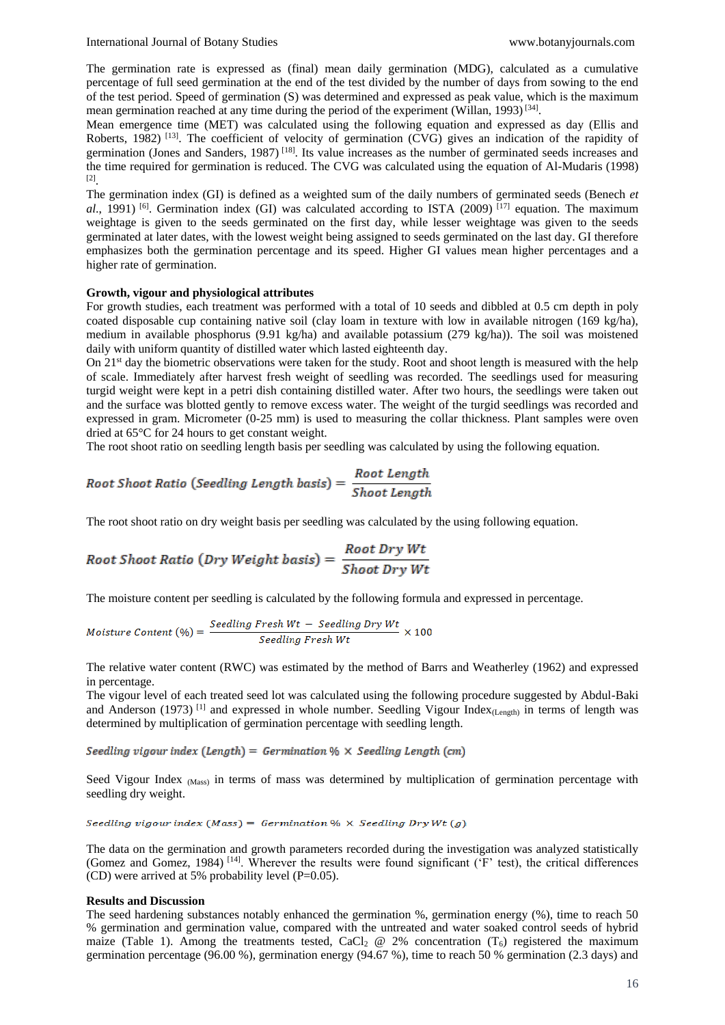The germination rate is expressed as (final) mean daily germination (MDG), calculated as a cumulative percentage of full seed germination at the end of the test divided by the number of days from sowing to the end of the test period. Speed of germination (S) was determined and expressed as peak value, which is the maximum mean germination reached at any time during the period of the experiment (Willan, 1993)<sup>[34]</sup>.

Mean emergence time (MET) was calculated using the following equation and expressed as day (Ellis and Roberts, 1982) <sup>[13]</sup>. The coefficient of velocity of germination (CVG) gives an indication of the rapidity of germination (Jones and Sanders, 1987) [18]. Its value increases as the number of germinated seeds increases and the time required for germination is reduced. The CVG was calculated using the equation of Al-Mudaris (1998) [2] .

The germination index (GI) is defined as a weighted sum of the daily numbers of germinated seeds (Benech *et al.*, 1991) <sup>[6]</sup>. Germination index (GI) was calculated according to ISTA (2009) <sup>[17]</sup> equation. The maximum weightage is given to the seeds germinated on the first day, while lesser weightage was given to the seeds germinated at later dates, with the lowest weight being assigned to seeds germinated on the last day. GI therefore emphasizes both the germination percentage and its speed. Higher GI values mean higher percentages and a higher rate of germination.

#### **Growth, vigour and physiological attributes**

For growth studies, each treatment was performed with a total of 10 seeds and dibbled at 0.5 cm depth in poly coated disposable cup containing native soil (clay loam in texture with low in available nitrogen (169 kg/ha), medium in available phosphorus (9.91 kg/ha) and available potassium (279 kg/ha)). The soil was moistened daily with uniform quantity of distilled water which lasted eighteenth day.

On 21<sup>st</sup> day the biometric observations were taken for the study. Root and shoot length is measured with the help of scale. Immediately after harvest fresh weight of seedling was recorded. The seedlings used for measuring turgid weight were kept in a petri dish containing distilled water. After two hours, the seedlings were taken out and the surface was blotted gently to remove excess water. The weight of the turgid seedlings was recorded and expressed in gram. Micrometer (0-25 mm) is used to measuring the collar thickness. Plant samples were oven dried at 65°C for 24 hours to get constant weight.

The root shoot ratio on seedling length basis per seedling was calculated by using the following equation.

Root Shoot Ratio (Seeding Length basis) = 
$$
\frac{Root Length}{Show Length}
$$

The root shoot ratio on dry weight basis per seedling was calculated by the using following equation.

Root Shoot Ratio (Dry Weight basis) = 
$$
\frac{Root\ Dry\ Wt}{Show\ Dry\ Wt}
$$

The moisture content per seedling is calculated by the following formula and expressed in percentage.

$$
Moisture Content (\%) = \frac{Seeding\,Fresh\,Wt - Seelling\,Dry\,Wt}{Seeding\,Fresh\,Wt} \times 100
$$

The relative water content (RWC) was estimated by the method of Barrs and Weatherley (1962) and expressed in percentage.

The vigour level of each treated seed lot was calculated using the following procedure suggested by Abdul-Baki and Anderson (1973)<sup>[1]</sup> and expressed in whole number. Seedling Vigour Index<sub>(Length</sub>) in terms of length was determined by multiplication of germination percentage with seedling length.

Seedling vigour index (Length) = Germination  $\% \times$  Seedling Length (cm)

Seed Vigour Index <sub>(Mass)</sub> in terms of mass was determined by multiplication of germination percentage with seedling dry weight.

Seedling vigour index (Mass) = Germination %  $\times$  Seedling Dry Wt (g)

The data on the germination and growth parameters recorded during the investigation was analyzed statistically (Gomez and Gomez, 1984) [14]. Wherever the results were found significant ('F' test), the critical differences (CD) were arrived at 5% probability level  $(P=0.05)$ .

#### **Results and Discussion**

The seed hardening substances notably enhanced the germination %, germination energy (%), time to reach 50 % germination and germination value, compared with the untreated and water soaked control seeds of hybrid maize (Table 1). Among the treatments tested, CaCl<sub>2</sub> @ 2% concentration (T<sub>6</sub>) registered the maximum germination percentage (96.00 %), germination energy (94.67 %), time to reach 50 % germination (2.3 days) and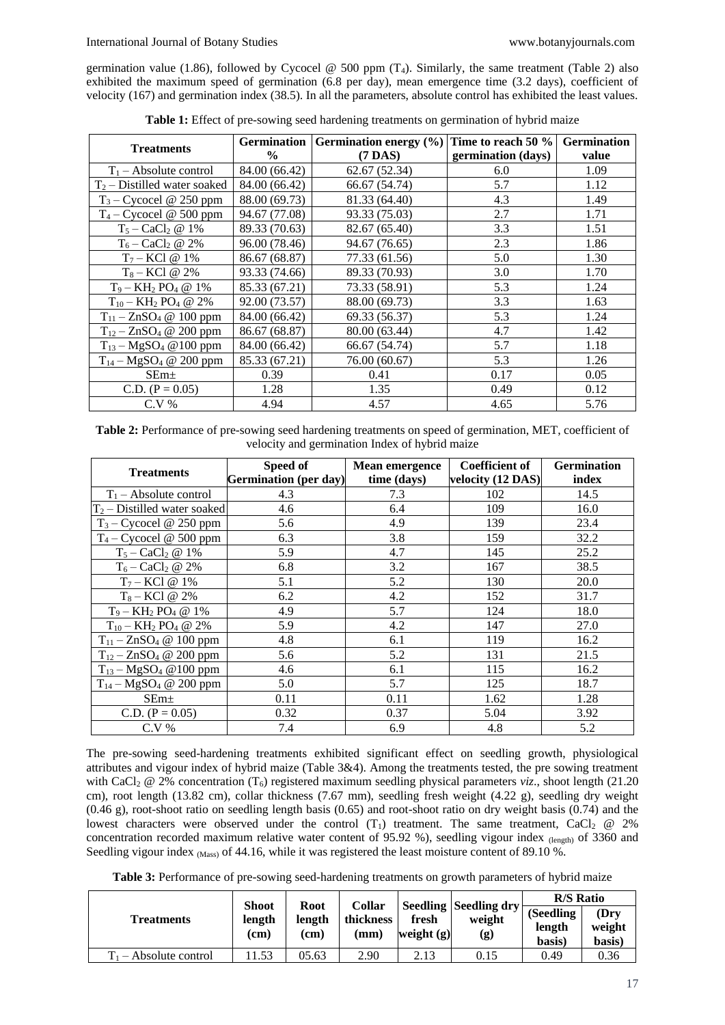germination value (1.86), followed by Cycocel @ 500 ppm  $(T_4)$ . Similarly, the same treatment (Table 2) also exhibited the maximum speed of germination (6.8 per day), mean emergence time (3.2 days), coefficient of velocity (167) and germination index (38.5). In all the parameters, absolute control has exhibited the least values.

| <b>Treatments</b>                 |                | Germination   Germination energy $(\%)$   Time to reach 50 % |                    | <b>Germination</b> |
|-----------------------------------|----------------|--------------------------------------------------------------|--------------------|--------------------|
|                                   | $\frac{6}{10}$ | $(7$ DAS)                                                    | germination (days) | value              |
| $T_1$ – Absolute control          | 84.00 (66.42)  | 62.67(52.34)                                                 | 6.0                | 1.09               |
| $T_2$ – Distilled water soaked    | 84.00 (66.42)  | 66.67 (54.74)                                                | 5.7                | 1.12               |
| $T_3$ – Cycocel @ 250 ppm         | 88.00 (69.73)  | 81.33 (64.40)                                                | 4.3                | 1.49               |
| $T_4$ – Cycocel @ 500 ppm         | 94.67 (77.08)  | 93.33 (75.03)                                                | 2.7                | 1.71               |
| $T_5 - \text{CaCl}_2 \otimes 1\%$ | 89.33 (70.63)  | 82.67 (65.40)                                                | 3.3                | 1.51               |
| $T_6 - \text{CaCl}_2 \otimes 2\%$ | 96.00 (78.46)  | 94.67 (76.65)                                                | 2.3                | 1.86               |
| $T_7 - KCl \ @ \ 1\%$             | 86.67 (68.87)  | 77.33 (61.56)                                                | 5.0                | 1.30               |
| $T_8 - KCl \ @ 2\%$               | 93.33 (74.66)  | 89.33 (70.93)                                                | 3.0                | 1.70               |
| $T_9 - KH_2 PO_4 @ 1\%$           | 85.33 (67.21)  | 73.33 (58.91)                                                | 5.3                | 1.24               |
| $T_{10} - KH_2 PO_4 \t@ 2\%$      | 92.00 (73.57)  | 88.00 (69.73)                                                | 3.3                | 1.63               |
| $T_{11} - ZnSO_4 \tQ 100$ ppm     | 84.00 (66.42)  | 69.33 (56.37)                                                | 5.3                | 1.24               |
| $T_{12} - ZnSO_4 \tQ 200$ ppm     | 86.67 (68.87)  | 80.00 (63.44)                                                | 4.7                | 1.42               |
| $T_{13} - MgSO_4 \t Q 100$ ppm    | 84.00 (66.42)  | 66.67 (54.74)                                                | 5.7                | 1.18               |
| $T_{14} - MgSO_4 \tQ 200$ ppm     | 85.33 (67.21)  | 76.00 (60.67)                                                | 5.3                | 1.26               |
| $SEm+$                            | 0.39           | 0.41                                                         | 0.17               | 0.05               |
| C.D. $(P = 0.05)$                 | 1.28           | 1.35                                                         | 0.49               | 0.12               |
| $C.V.$ %                          | 4.94           | 4.57                                                         | 4.65               | 5.76               |

**Table 1:** Effect of pre-sowing seed hardening treatments on germination of hybrid maize

**Table 2:** Performance of pre-sowing seed hardening treatments on speed of germination, MET, coefficient of velocity and germination Index of hybrid maize

| <b>Treatments</b>              | Speed of<br><b>Germination</b> (per day) | <b>Mean emergence</b><br>time (days) | <b>Coefficient of</b><br>velocity (12 DAS) | <b>Germination</b><br>index |  |
|--------------------------------|------------------------------------------|--------------------------------------|--------------------------------------------|-----------------------------|--|
| $T_1$ – Absolute control       | 4.3                                      | 7.3                                  | 102                                        | 14.5                        |  |
| $T_2$ – Distilled water soaked | 4.6                                      | 6.4                                  | 109                                        | 16.0                        |  |
| $T_3$ – Cycocel @ 250 ppm      | 5.6                                      | 4.9                                  | 139                                        | 23.4                        |  |
| $T_4$ – Cycocel @ 500 ppm      | 6.3                                      | 3.8                                  | 159                                        | 32.2                        |  |
| $T_5 - CaCl_2 \t@1%$           | 5.9                                      | 4.7                                  | 145                                        | 25.2                        |  |
| $T_6 - CaCl_2 \omega 2\%$      | 6.8                                      | 3.2                                  | 167                                        | 38.5                        |  |
| $T_7 - KCl \ @ \ 1\%$          | 5.1                                      | 5.2                                  | 130                                        | 20.0                        |  |
| $T_8 - KCl \ @\ 2\%$           | 6.2                                      | 4.2                                  | 152                                        | 31.7                        |  |
| $T_9 - KH_2 PO_4 \n\omega 1\%$ | 4.9                                      | 5.7                                  | 124                                        | 18.0                        |  |
| $T_{10} - KH_2 PO_4 \t@ 2\%$   | 5.9                                      | 4.2                                  | 147                                        | 27.0                        |  |
| $T_{11} - ZnSO_4 \tQ 100$ ppm  | 4.8                                      | 6.1                                  | 119                                        | 16.2                        |  |
| $T_{12} - ZnSO_4 \tQ 200$ ppm  | 5.6                                      | 5.2                                  | 131                                        | 21.5                        |  |
| $T_{13} - MgSO_4 \t@100$ ppm   | 4.6                                      | 6.1                                  | 115                                        | 16.2                        |  |
| $T_{14} - MgSO_4 \t@ 200$ ppm  | 5.0                                      | 5.7                                  | 125                                        | 18.7                        |  |
| SEm <sub>±</sub>               | 0.11                                     | 0.11                                 | 1.62                                       | 1.28                        |  |
| C.D. $(P = 0.05)$              | 0.32                                     | 0.37                                 | 5.04                                       | 3.92                        |  |
| $C.V.$ %                       | 7.4                                      | 6.9                                  | 4.8                                        | 5.2                         |  |

The pre-sowing seed-hardening treatments exhibited significant effect on seedling growth, physiological attributes and vigour index of hybrid maize (Table 3&4). Among the treatments tested, the pre sowing treatment with CaCl<sub>2</sub> @ 2% concentration (T<sub>6</sub>) registered maximum seedling physical parameters *viz*., shoot length (21.20) cm), root length (13.82 cm), collar thickness (7.67 mm), seedling fresh weight (4.22 g), seedling dry weight (0.46 g), root-shoot ratio on seedling length basis (0.65) and root-shoot ratio on dry weight basis (0.74) and the lowest characters were observed under the control  $(T_1)$  treatment. The same treatment, CaCl<sub>2</sub>  $\omega$  2% concentration recorded maximum relative water content of 95.92 %), seedling vigour index (length) of 3360 and Seedling vigour index (Mass) of 44.16, while it was registered the least moisture content of 89.10 %.

**Table 3:** Performance of pre-sowing seed-hardening treatments on growth parameters of hybrid maize

|                          | <b>Shoot</b>   |                                                 |           | fresh<br>weight $(g)$ | <b>Seedling Seedling dry</b><br>weight<br>$\left( \mathbf{g}\right)$ | <b>R/S Ratio</b>              |                           |
|--------------------------|----------------|-------------------------------------------------|-----------|-----------------------|----------------------------------------------------------------------|-------------------------------|---------------------------|
| Treatments               | length<br>(cm) | <b>Collar</b><br>Root<br>length<br>(cm)<br>(mm) | thickness |                       |                                                                      | (Seedling<br>length<br>basis) | (Drv)<br>weight<br>basis) |
| $T_1$ – Absolute control | 1.53           | 05.63                                           | 2.90      | 2.13                  | 0.15                                                                 | 0.49                          | 0.36                      |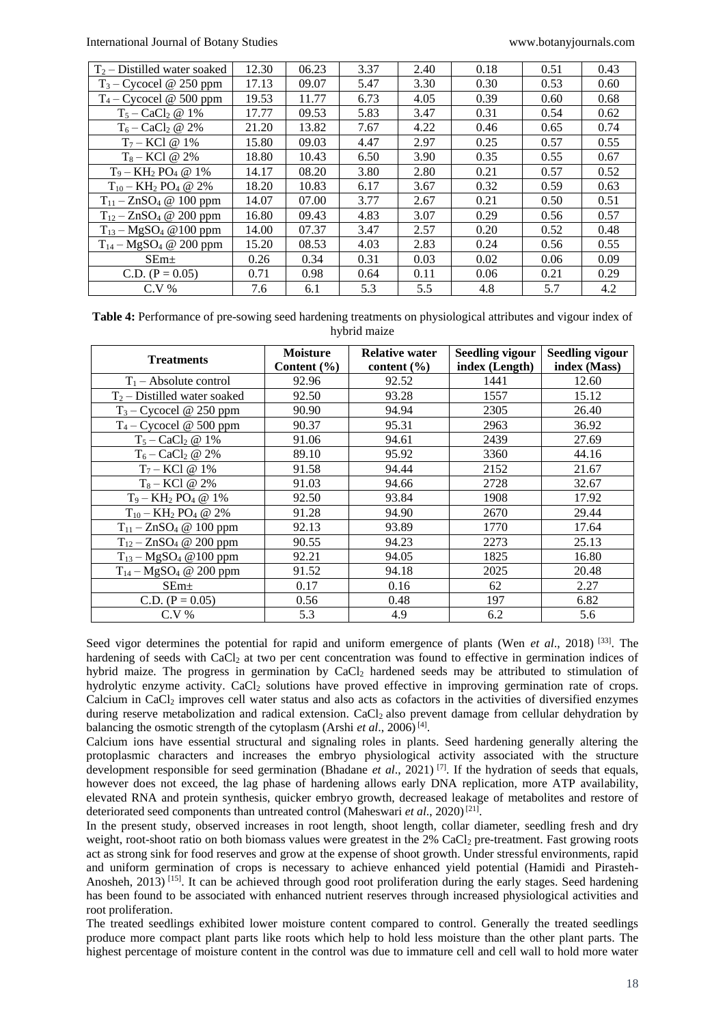| $T_2$ – Distilled water soaked    | 12.30 | 06.23 | 3.37 | 2.40 | 0.18 | 0.51 | 0.43 |
|-----------------------------------|-------|-------|------|------|------|------|------|
| $T_3$ – Cycocel @ 250 ppm         | 17.13 | 09.07 | 5.47 | 3.30 | 0.30 | 0.53 | 0.60 |
| $T_4$ – Cycocel @ 500 ppm         | 19.53 | 11.77 | 6.73 | 4.05 | 0.39 | 0.60 | 0.68 |
| $T_5 - \text{CaCl}_2 \otimes 1\%$ | 17.77 | 09.53 | 5.83 | 3.47 | 0.31 | 0.54 | 0.62 |
| $T_6 - \text{CaCl}_2 \otimes 2\%$ | 21.20 | 13.82 | 7.67 | 4.22 | 0.46 | 0.65 | 0.74 |
| $T_7 - KCl \; @ \; 1\%$           | 15.80 | 09.03 | 4.47 | 2.97 | 0.25 | 0.57 | 0.55 |
| $T_8 - KCl \ @ \ 2\%$             | 18.80 | 10.43 | 6.50 | 3.90 | 0.35 | 0.55 | 0.67 |
| $T_9 - KH_2 PO_4 @ 1\%$           | 14.17 | 08.20 | 3.80 | 2.80 | 0.21 | 0.57 | 0.52 |
| $T_{10} - KH_2 PO_4 \n\omega 2\%$ | 18.20 | 10.83 | 6.17 | 3.67 | 0.32 | 0.59 | 0.63 |
| $T_{11} - ZnSO_4 \tQ 100$ ppm     | 14.07 | 07.00 | 3.77 | 2.67 | 0.21 | 0.50 | 0.51 |
| $T_{12} - ZnSO_4 \tQ 200$ ppm     | 16.80 | 09.43 | 4.83 | 3.07 | 0.29 | 0.56 | 0.57 |
| $T_{13} - MgSO_4 \t Q 100$ ppm    | 14.00 | 07.37 | 3.47 | 2.57 | 0.20 | 0.52 | 0.48 |
| $T_{14} - MgSO_4 \tQ 200$ ppm     | 15.20 | 08.53 | 4.03 | 2.83 | 0.24 | 0.56 | 0.55 |
| SEm <sub>±</sub>                  | 0.26  | 0.34  | 0.31 | 0.03 | 0.02 | 0.06 | 0.09 |
| C.D. $(P = 0.05)$                 | 0.71  | 0.98  | 0.64 | 0.11 | 0.06 | 0.21 | 0.29 |
| $C.V.$ %                          | 7.6   | 6.1   | 5.3  | 5.5  | 4.8  | 5.7  | 4.2  |

**Table 4:** Performance of pre-sowing seed hardening treatments on physiological attributes and vigour index of hybrid maize

| <b>Treatments</b>                 | <b>Moisture</b><br>Content $(\% )$ | <b>Relative water</b><br>content $(\% )$ | <b>Seedling vigour</b><br>index (Length) | <b>Seedling vigour</b><br>index (Mass) |
|-----------------------------------|------------------------------------|------------------------------------------|------------------------------------------|----------------------------------------|
| $T_1$ – Absolute control          | 92.96                              | 92.52                                    | 1441                                     | 12.60                                  |
| $T_2$ – Distilled water soaked    | 92.50                              | 93.28                                    | 1557                                     | 15.12                                  |
| $T_3$ – Cycocel @ 250 ppm         | 90.90                              | 94.94                                    | 2305                                     | 26.40                                  |
| $T_4$ – Cycocel @ 500 ppm         | 90.37                              | 95.31                                    | 2963                                     | 36.92                                  |
| $T_5 - CaCl_2 \omega 1\%$         | 91.06                              | 94.61                                    | 2439                                     | 27.69                                  |
| $T_6 - CaCl_2 \omega 2\%$         | 89.10                              | 95.92                                    | 3360                                     | 44.16                                  |
| $T_7 - KCl \; @ \; 1\%$           | 91.58                              | 94.44                                    | 2152                                     | 21.67                                  |
| $T_8 - KCl \n\omega 2\%$          | 91.03                              | 94.66                                    | 2728                                     | 32.67                                  |
| $T_9 - KH_2 PO_4 \n\omega 1\%$    | 92.50                              | 93.84                                    | 1908                                     | 17.92                                  |
| $T_{10} - KH_2 PO_4 \n\omega 2\%$ | 91.28                              | 94.90                                    | 2670                                     | 29.44                                  |
| $T_{11} - ZnSO_4 \t Q 100$ ppm    | 92.13                              | 93.89                                    | 1770                                     | 17.64                                  |
| $T_{12} - ZnSO_4 \tQ 200$ ppm     | 90.55                              | 94.23                                    | 2273                                     | 25.13                                  |
| $T_{13} - MgSO_4 \t Q 100$ ppm    | 92.21                              | 94.05                                    | 1825                                     | 16.80                                  |
| $T_{14} - MgSO_4 \tQ 200$ ppm     | 91.52                              | 94.18                                    | 2025                                     | 20.48                                  |
| SEm <sub>±</sub>                  | 0.17                               | 0.16                                     | 62                                       | 2.27                                   |
| C.D. $(P = 0.05)$                 | 0.56                               | 0.48                                     | 197                                      | 6.82                                   |
| $C.V.$ %                          | 5.3                                | 4.9                                      | 6.2                                      | 5.6                                    |

Seed vigor determines the potential for rapid and uniform emergence of plants (Wen *et al*., 2018) [33]. The hardening of seeds with CaCl<sub>2</sub> at two per cent concentration was found to effective in germination indices of hybrid maize. The progress in germination by CaCl<sub>2</sub> hardened seeds may be attributed to stimulation of hydrolytic enzyme activity. CaCl<sup>2</sup> solutions have proved effective in improving germination rate of crops. Calcium in CaCl<sup>2</sup> improves cell water status and also acts as cofactors in the activities of diversified enzymes during reserve metabolization and radical extension. CaCl<sub>2</sub> also prevent damage from cellular dehydration by balancing the osmotic strength of the cytoplasm (Arshi et al., 2006)<sup>[4]</sup>.

Calcium ions have essential structural and signaling roles in plants. Seed hardening generally altering the protoplasmic characters and increases the embryo physiological activity associated with the structure development responsible for seed germination (Bhadane *et al*., 2021) [7]. If the hydration of seeds that equals, however does not exceed, the lag phase of hardening allows early DNA replication, more ATP availability, elevated RNA and protein synthesis, quicker embryo growth, decreased leakage of metabolites and restore of deteriorated seed components than untreated control (Maheswari et al., 2020)<sup>[21]</sup>.

In the present study, observed increases in root length, shoot length, collar diameter, seedling fresh and dry weight, root-shoot ratio on both biomass values were greatest in the 2% CaCl<sub>2</sub> pre-treatment. Fast growing roots act as strong sink for food reserves and grow at the expense of shoot growth. Under stressful environments, rapid and uniform germination of crops is necessary to achieve enhanced yield potential (Hamidi and Pirasteh-Anosheh, 2013) [15]. It can be achieved through good root proliferation during the early stages. Seed hardening has been found to be associated with enhanced nutrient reserves through increased physiological activities and root proliferation.

The treated seedlings exhibited lower moisture content compared to control. Generally the treated seedlings produce more compact plant parts like roots which help to hold less moisture than the other plant parts. The highest percentage of moisture content in the control was due to immature cell and cell wall to hold more water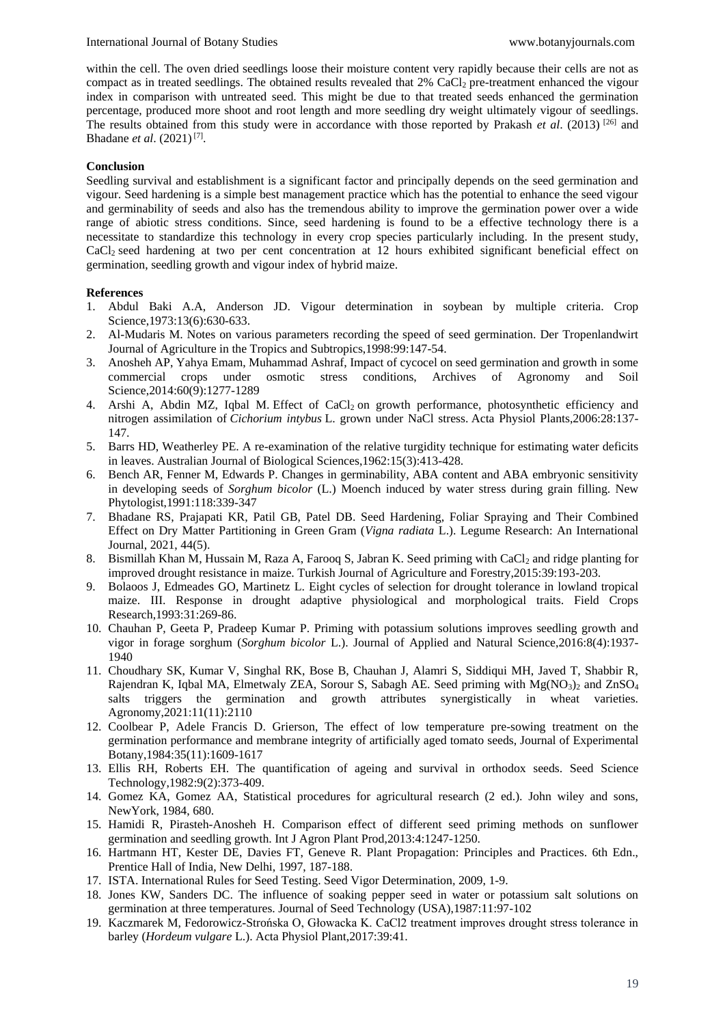within the cell. The oven dried seedlings loose their moisture content very rapidly because their cells are not as compact as in treated seedlings. The obtained results revealed that 2% CaCl<sub>2</sub> pre-treatment enhanced the vigour index in comparison with untreated seed. This might be due to that treated seeds enhanced the germination percentage, produced more shoot and root length and more seedling dry weight ultimately vigour of seedlings. The results obtained from this study were in accordance with those reported by Prakash *et al*. (2013) [26] and Bhadane *et al.* (2021)<sup>[7]</sup>.

## **Conclusion**

Seedling survival and establishment is a significant factor and principally depends on the seed germination and vigour. Seed hardening is a simple best management practice which has the potential to enhance the seed vigour and germinability of seeds and also has the tremendous ability to improve the germination power over a wide range of abiotic stress conditions. Since, seed hardening is found to be a effective technology there is a necessitate to standardize this technology in every crop species particularly including. In the present study, CaCl<sub>2</sub> seed hardening at two per cent concentration at 12 hours exhibited significant beneficial effect on germination, seedling growth and vigour index of hybrid maize.

### **References**

- 1. Abdul Baki A.A, Anderson JD. Vigour determination in soybean by multiple criteria. Crop Science, 1973: 13(6): 630-633.
- 2. Al-Mudaris M. Notes on various parameters recording the speed of seed germination. Der Tropenlandwirt Journal of Agriculture in the Tropics and Subtropics,1998:99:147-54.
- 3. Anosheh AP, Yahya Emam, Muhammad Ashraf, Impact of cycocel on seed germination and growth in some commercial crops under osmotic stress conditions, Archives of Agronomy and Soil Science,2014:60(9):1277-1289
- 4. Arshi A, Abdin MZ, Iqbal M. Effect of CaCl<sub>2</sub> on growth performance, photosynthetic efficiency and nitrogen assimilation of *Cichorium intybus* L. grown under NaCl stress. Acta Physiol Plants,2006:28:137- 147.
- 5. Barrs HD, Weatherley PE. A re-examination of the relative turgidity technique for estimating water deficits in leaves. Australian Journal of Biological Sciences,1962:15(3):413-428.
- 6. Bench AR, Fenner M, Edwards P. Changes in germinability, ABA content and ABA embryonic sensitivity in developing seeds of *Sorghum bicolor* (L.) Moench induced by water stress during grain filling. New Phytologist,1991:118:339-347
- 7. Bhadane RS, Prajapati KR, Patil GB, Patel DB. Seed Hardening, Foliar Spraying and Their Combined Effect on Dry Matter Partitioning in Green Gram (*Vigna radiata* L.). Legume Research: An International Journal, 2021, 44(5).
- 8. Bismillah Khan M, Hussain M, Raza A, Farooq S, Jabran K. Seed priming with CaCl<sub>2</sub> and ridge planting for improved drought resistance in maize. Turkish Journal of Agriculture and Forestry,2015:39:193-203.
- 9. Bolaoos J, Edmeades GO, Martinetz L. Eight cycles of selection for drought tolerance in lowland tropical maize. III. Response in drought adaptive physiological and morphological traits. Field Crops Research,1993:31:269-86.
- 10. Chauhan P, Geeta P, Pradeep Kumar P. Priming with potassium solutions improves seedling growth and vigor in forage sorghum (*Sorghum bicolor* L.). Journal of Applied and Natural Science,2016:8(4):1937- 1940
- 11. Choudhary SK, Kumar V, Singhal RK, Bose B, Chauhan J, Alamri S, Siddiqui MH, Javed T, Shabbir R, Rajendran K, Iqbal MA, Elmetwaly ZEA, Sorour S, Sabagh AE. Seed priming with Mg(NO<sub>3</sub>)<sub>2</sub> and ZnSO<sub>4</sub> salts triggers the germination and growth attributes synergistically in wheat varieties. Agronomy,2021:11(11):2110
- 12. Coolbear P, Adele Francis D. Grierson, The effect of low temperature pre-sowing treatment on the germination performance and membrane integrity of artificially aged tomato seeds, Journal of Experimental Botany,1984:35(11):1609-1617
- 13. Ellis RH, Roberts EH. The quantification of ageing and survival in orthodox seeds. Seed Science Technology,1982:9(2):373-409.
- 14. Gomez KA, Gomez AA, Statistical procedures for agricultural research (2 ed.). John wiley and sons, NewYork, 1984, 680.
- 15. Hamidi R, Pirasteh-Anosheh H. Comparison effect of different seed priming methods on sunflower germination and seedling growth. Int J Agron Plant Prod,2013:4:1247-1250.
- 16. Hartmann HT, Kester DE, Davies FT, Geneve R. Plant Propagation: Principles and Practices. 6th Edn., Prentice Hall of India, New Delhi, 1997, 187-188.
- 17. ISTA. International Rules for Seed Testing. Seed Vigor Determination*,* 2009, 1-9.
- 18. Jones KW, Sanders DC. The influence of soaking pepper seed in water or potassium salt solutions on germination at three temperatures. Journal of Seed Technology (USA),1987:11:97-102
- 19. Kaczmarek M, Fedorowicz-Strońska O, Głowacka K. CaCl2 treatment improves drought stress tolerance in barley (*Hordeum vulgare* L.). Acta Physiol Plant,2017:39:41.